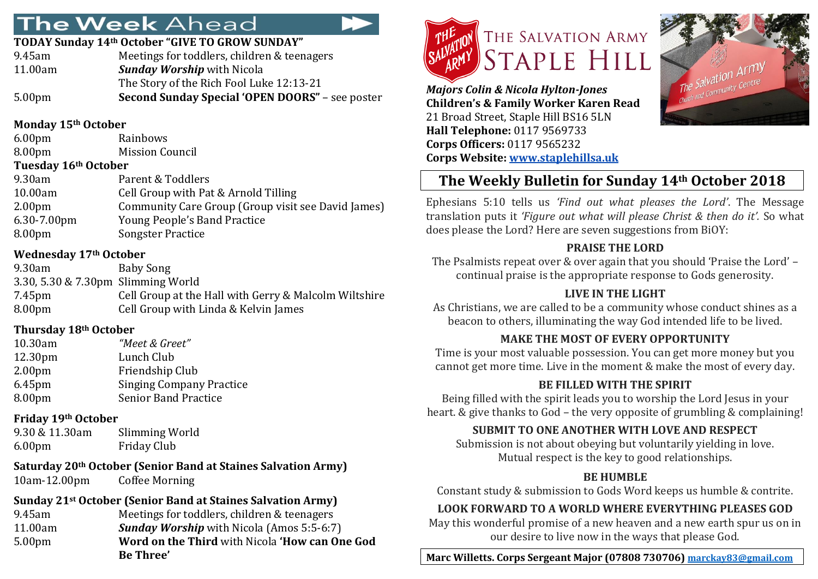# **The Week Ahead**

#### **TODAY Sunday 14th October "GIVE TO GROW SUNDAY"**

| Meetings for toddlers, children & teenagers            |
|--------------------------------------------------------|
| <b>Sunday Worship</b> with Nicola                      |
| The Story of the Rich Fool Luke 12:13-21               |
| <b>Second Sunday Special 'OPEN DOORS" - see poster</b> |
|                                                        |

### **Monday 15th October**

| 6.00pm | Rainbows               |
|--------|------------------------|
| 8.00pm | <b>Mission Council</b> |
|        |                        |

#### **Tuesday 16th October**

| 9.30am             | Parent & Toddlers                                  |
|--------------------|----------------------------------------------------|
| 10.00am            | Cell Group with Pat & Arnold Tilling               |
| 2.00 <sub>pm</sub> | Community Care Group (Group visit see David James) |
| $6.30 - 7.00$ pm   | <b>Young People's Band Practice</b>                |
| 8.00 <sub>pm</sub> | <b>Songster Practice</b>                           |
|                    |                                                    |

### **Wednesday 17th October**

| 9.30am                             | Baby Song                                             |
|------------------------------------|-------------------------------------------------------|
| 3.30, 5.30 & 7.30pm Slimming World |                                                       |
| 7.45pm                             | Cell Group at the Hall with Gerry & Malcolm Wiltshire |
| 8.00 <sub>pm</sub>                 | Cell Group with Linda & Kelvin James                  |
|                                    |                                                       |

### **Thursday 18th October**

| 10.30am            | "Meet & Greet"                  |
|--------------------|---------------------------------|
| 12.30pm            | Lunch Club                      |
| 2.00 <sub>pm</sub> | Friendship Club                 |
| 6.45 <sub>pm</sub> | <b>Singing Company Practice</b> |
| 8.00 <sub>pm</sub> | <b>Senior Band Practice</b>     |
|                    |                                 |

### **Friday 19th October**

| 9.30 & 11.30am     | Slimming World     |
|--------------------|--------------------|
| 6.00 <sub>pm</sub> | <b>Friday Club</b> |

#### **Saturday 20th October (Senior Band at Staines Salvation Army)** 10am-12.00pm Coffee Morning

# **Sunday 21st October (Senior Band at Staines Salvation Army)**

| Meetings for toddlers, children & teenagers<br>9.45am<br><b>Sunday Worship</b> with Nicola (Amos 5:5-6:7)<br>11.00am<br>Word on the Third with Nicola 'How can One God<br>5.00 <sub>pm</sub> | Sunday 21 <sup>3</sup> October (Senior Band at Staines Salvation Army) |
|----------------------------------------------------------------------------------------------------------------------------------------------------------------------------------------------|------------------------------------------------------------------------|
|                                                                                                                                                                                              |                                                                        |
|                                                                                                                                                                                              |                                                                        |
| <b>Be Three'</b>                                                                                                                                                                             |                                                                        |



*Majors Colin & Nicola Hylton-Jones*  **Children's & Family Worker Karen Read** 21 Broad Street, Staple Hill BS16 5LN **Hall Telephone:** 0117 9569733 **Corps Officers:** 0117 9565232 **Corps Website: [www.staplehillsa.uk](http://www.staplehillsa.uk/)**



# **The Weekly Bulletin for Sunday 14th October 2018**

Ephesians 5:10 tells us *'Find out what pleases the Lord'*. The Message translation puts it *'Figure out what will please Christ & then do it'.* So what does please the Lord? Here are seven suggestions from BiOY:

### **PRAISE THE LORD**

The Psalmists repeat over & over again that you should 'Praise the Lord' – continual praise is the appropriate response to Gods generosity.

### **LIVE IN THE LIGHT**

As Christians, we are called to be a community whose conduct shines as a beacon to others, illuminating the way God intended life to be lived.

### **MAKE THE MOST OF EVERY OPPORTUNITY**

Time is your most valuable possession. You can get more money but you cannot get more time. Live in the moment & make the most of every day.

### **BE FILLED WITH THE SPIRIT**

Being filled with the spirit leads you to worship the Lord Jesus in your heart. & give thanks to God – the very opposite of grumbling & complaining!

## **SUBMIT TO ONE ANOTHER WITH LOVE AND RESPECT**

Submission is not about obeying but voluntarily yielding in love. Mutual respect is the key to good relationships.

### **BE HUMBLE**

Constant study & submission to Gods Word keeps us humble & contrite.

## **LOOK FORWARD TO A WORLD WHERE EVERYTHING PLEASES GOD**

May this wonderful promise of a new heaven and a new earth spur us on in our desire to live now in the ways that please God.

## **Marc Willetts. Corps Sergeant Major (07808 730706) [marckay83@gmail.com](mailto:marckay83@gmail.com)**